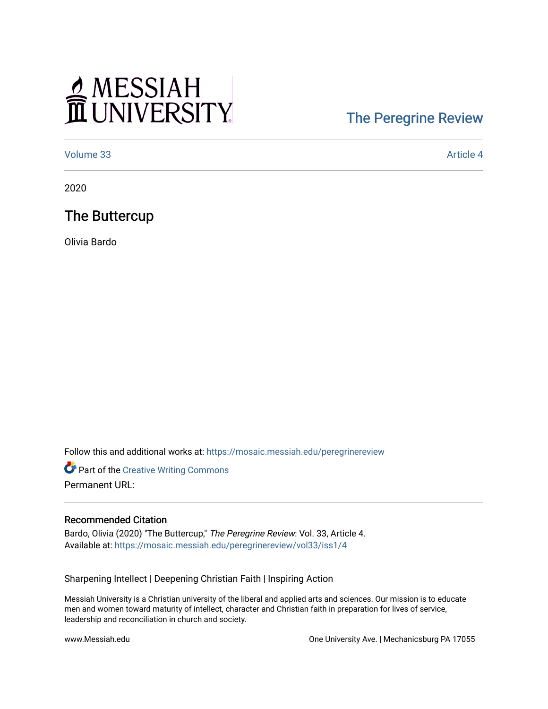# MESSIAH

#### [The Peregrine Review](https://mosaic.messiah.edu/peregrinereview)

[Volume 33](https://mosaic.messiah.edu/peregrinereview/vol33) [Article 4](https://mosaic.messiah.edu/peregrinereview/vol33/iss1/4) 

2020

#### The Buttercup

Olivia Bardo

Follow this and additional works at: [https://mosaic.messiah.edu/peregrinereview](https://mosaic.messiah.edu/peregrinereview?utm_source=mosaic.messiah.edu%2Fperegrinereview%2Fvol33%2Fiss1%2F4&utm_medium=PDF&utm_campaign=PDFCoverPages) 

**Part of the Creative Writing Commons** Permanent URL:

#### Recommended Citation

Bardo, Olivia (2020) "The Buttercup," The Peregrine Review: Vol. 33, Article 4. Available at: [https://mosaic.messiah.edu/peregrinereview/vol33/iss1/4](https://mosaic.messiah.edu/peregrinereview/vol33/iss1/4?utm_source=mosaic.messiah.edu%2Fperegrinereview%2Fvol33%2Fiss1%2F4&utm_medium=PDF&utm_campaign=PDFCoverPages) 

Sharpening Intellect | Deepening Christian Faith | Inspiring Action

Messiah University is a Christian university of the liberal and applied arts and sciences. Our mission is to educate men and women toward maturity of intellect, character and Christian faith in preparation for lives of service, leadership and reconciliation in church and society.